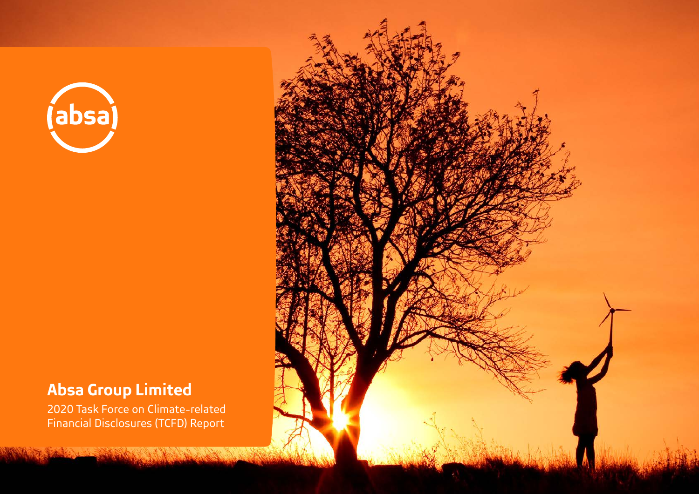

# **Absa Group Limited**

2020 Task Force on Climate-related Financial Disclosures (TCFD) Report

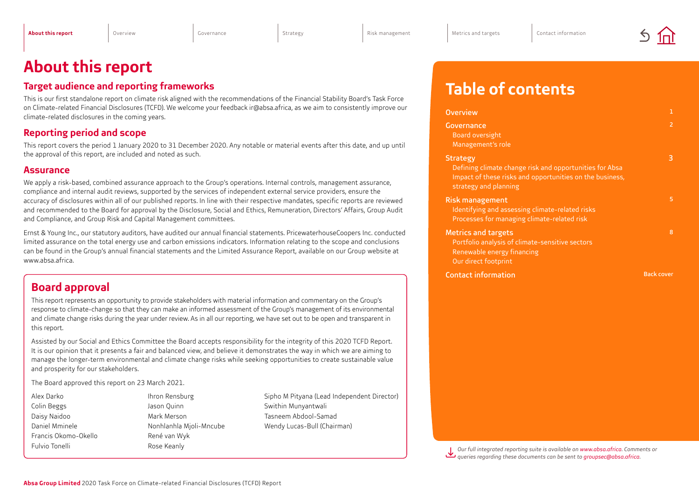# <span id="page-1-0"></span>**About this report**

### **Target audience and reporting frameworks**

This is our first standalone report on climate risk aligned with the recommendations of the Financial Stability Board's Task Force on Climate-related Financial Disclosures (TCFD). We welcome your feedback ir@absa.africa, as we aim to consistently improve our climate-related disclosures in the coming years.

### **Reporting period and scope**

This report covers the period 1 January 2020 to 31 December 2020. Any notable or material events after this date, and up until the approval of this report, are included and noted as such.

#### **Assurance**

We apply a risk-based, combined assurance approach to the Group's operations. Internal controls, management assurance, compliance and internal audit reviews, supported by the services of independent external service providers, ensure the accuracy of disclosures within all of our published reports. In line with their respective mandates, specific reports are reviewed and recommended to the Board for approval by the Disclosure, Social and Ethics, Remuneration, Directors' Affairs, Group Audit and Compliance, and Group Risk and Capital Management committees.

Ernst & Young Inc., our statutory auditors, have audited our annual financial statements. PricewaterhouseCoopers Inc. conducted limited assurance on the total energy use and carbon emissions indicators. Information relating to the scope and conclusions can be found in the Group's annual financial statements and the Limited Assurance Report, available on our Group website at www.absa.africa.

## **Board approval**

This report represents an opportunity to provide stakeholders with material information and commentary on the Group's response to climate-change so that they can make an informed assessment of the Group's management of its environmental and climate change risks during the year under review. As in all our reporting, we have set out to be open and transparent in this report.

Assisted by our Social and Ethics Committee the Board accepts responsibility for the integrity of this 2020 TCFD Report. It is our opinion that it presents a fair and balanced view, and believe it demonstrates the way in which we are aiming to manage the longer-term environmental and climate change risks while seeking opportunities to create sustainable value and prosperity for our stakeholders.

The Board approved this report on 23 March 2021.

- Francis Okomo-Okello René van Wyk Fulvio Tonelli **Rose** Keanly
- Colin Beggs Sand Colinn Swithin Munyantwali Daisy Naidoo Mark Merson Tasneem Abdool-Samad

Alex Darko Ihron Rensburg Sipho M Pityana (Lead Independent Director) Daniel Mminele Nonhlanhla Mjoli-Mncube Wendy Lucas-Bull (Chairman)

# **Table of contents**

| <b>Overview</b>                                                                                                                                                 |                   |
|-----------------------------------------------------------------------------------------------------------------------------------------------------------------|-------------------|
| Governance                                                                                                                                                      | $\mathcal{P}$     |
| Board oversight<br>Management's role                                                                                                                            |                   |
| <b>Strategy</b><br>Defining climate change risk and opportunities for Absa<br>Impact of these risks and opportunities on the business,<br>strategy and planning | 3                 |
| <b>Risk management</b><br>Identifying and assessing climate-related risks<br>Processes for managing climate-related risk                                        | 5                 |
| <b>Metrics and targets</b><br>Portfolio analysis of climate-sensitive sectors<br>Renewable energy financing<br>Our direct footprint                             | R                 |
| <b>Contact information</b>                                                                                                                                      | <b>Back cover</b> |

*Our full integrated reporting suite is available o[n www.absa.africa. C](https://www.absa.africa/absaafrica/investor-relations/annual-reports/)omments or queries regarding these documents can be sent to groupsec@absa.africa.*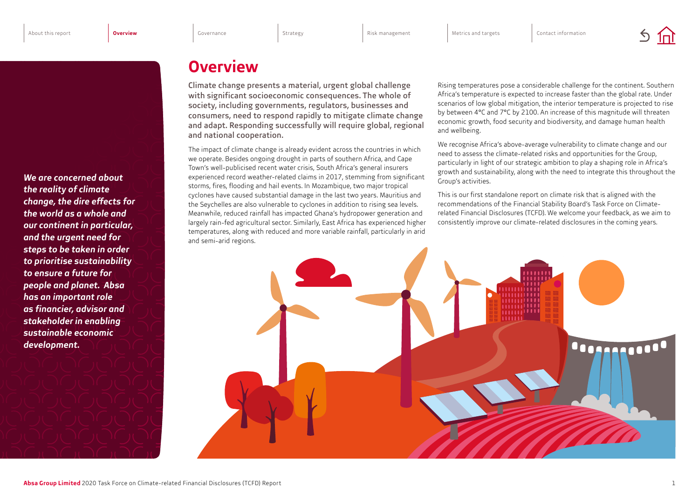# **Overview**

Climate change presents a material, urgent global challenge with significant socioeconomic consequences. The whole of society, including governments, regulators, businesses and consumers, need to respond rapidly to mitigate climate change and adapt. Responding successfully will require global, regional and national cooperation.

The impact of climate change is already evident across the countries in which we operate. Besides ongoing drought in parts of southern Africa, and Cape Town's well-publicised recent water crisis, South Africa's general insurers experienced record weather-related claims in 2017, stemming from significant storms, fires, flooding and hail events. In Mozambique, two major tropical cyclones have caused substantial damage in the last two years. Mauritius and the Seychelles are also vulnerable to cyclones in addition to rising sea levels. Meanwhile, reduced rainfall has impacted Ghana's hydropower generation and largely rain-fed agricultural sector. Similarly, East Africa has experienced higher temperatures, along with reduced and more variable rainfall, particularly in arid and semi-arid regions.

Rising temperatures pose a considerable challenge for the continent. Southern Africa's temperature is expected to increase faster than the global rate. Under scenarios of low global mitigation, the interior temperature is projected to rise by between 4°C and 7°C by 2100. An increase of this magnitude will threaten economic growth, food security and biodiversity, and damage human health and wellbeing.

We recognise Africa's above-average vulnerability to climate change and our need to assess the climate-related risks and opportunities for the Group, particularly in light of our strategic ambition to play a shaping role in Africa's growth and sustainability, along with the need to integrate this throughout the Group's activities.

This is our first standalone report on climate risk that is aligned with the recommendations of the Financial Stability Board's Task Force on Climaterelated Financial Disclosures (TCFD). We welcome your feedback, as we aim to consistently improve our climate-related disclosures in the coming years.



<span id="page-2-0"></span>*We are concerned about the reality of climate change, the dire effects for the world as a whole and our continent in particular, and the urgent need for steps to be taken in order to prioritise sustainability to ensure a future for people and planet. Absa has an important role as financier, advisor and stakeholder in enabling sustainable economic development.*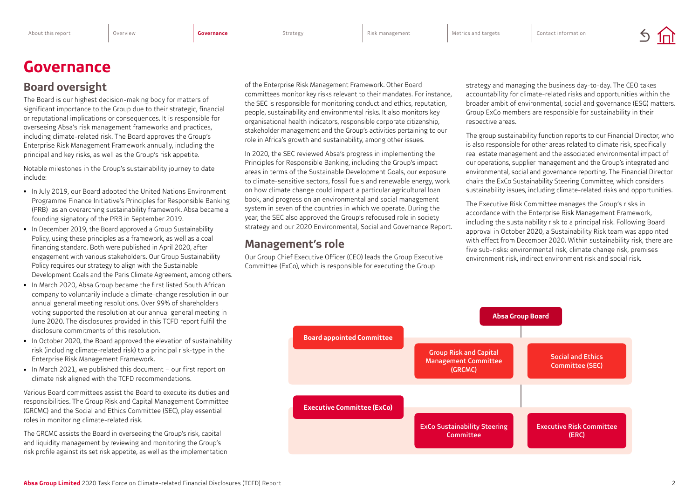# <span id="page-3-0"></span>**Governance**

## **Board oversight**

The Board is our highest decision-making body for matters of significant importance to the Group due to their strategic, financial or reputational implications or consequences. It is responsible for overseeing Absa's risk management frameworks and practices, including climate-related risk. The Board approves the Group's Enterprise Risk Management Framework annually, including the principal and key risks, as well as the Group's risk appetite.

Notable milestones in the Group's sustainability journey to date include:

- In July 2019, our Board adopted the United Nations Environment Programme Finance Initiative's Principles for Responsible Banking (PRB) as an overarching sustainability framework. Absa became a founding signatory of the PRB in September 2019.
- In December 2019, the Board approved a Group Sustainability Policy, using these principles as a framework, as well as a coal financing standard. Both were published in April 2020, after engagement with various stakeholders. Our Group Sustainability Policy requires our strategy to align with the Sustainable Development Goals and the Paris Climate Agreement, among others.
- In March 2020, Absa Group became the first listed South African company to voluntarily include a climate-change resolution in our annual general meeting resolutions. Over 99% of shareholders voting supported the resolution at our annual general meeting in June 2020. The disclosures provided in this TCFD report fulfil the disclosure commitments of this resolution.
- In October 2020, the Board approved the elevation of sustainability risk (including climate-related risk) to a principal risk-type in the Enterprise Risk Management Framework.
- In March 2021, we published this document our first report on climate risk aligned with the TCFD recommendations.

Various Board committees assist the Board to execute its duties and responsibilities. The Group Risk and Capital Management Committee (GRCMC) and the Social and Ethics Committee (SEC), play essential roles in monitoring climate-related risk.

The GRCMC assists the Board in overseeing the Group's risk, capital and liquidity management by reviewing and monitoring the Group's risk profile against its set risk appetite, as well as the implementation of the Enterprise Risk Management Framework. Other Board committees monitor key risks relevant to their mandates. For instance, the SEC is responsible for monitoring conduct and ethics, reputation, people, sustainability and environmental risks. It also monitors key organisational health indicators, responsible corporate citizenship, stakeholder management and the Group's activities pertaining to our role in Africa's growth and sustainability, among other issues.

In 2020, the SEC reviewed Absa's progress in implementing the Principles for Responsible Banking, including the Group's impact areas in terms of the Sustainable Development Goals, our exposure to climate-sensitive sectors, fossil fuels and renewable energy, work on how climate change could impact a particular agricultural loan book, and progress on an environmental and social management system in seven of the countries in which we operate. During the year, the SEC also approved the Group's refocused role in society strategy and our 2020 Environmental, Social and Governance Report.

## **Management's role**

Our Group Chief Executive Officer (CEO) leads the Group Executive Committee (ExCo), which is responsible for executing the Group

strategy and managing the business day-to-day. The CEO takes accountability for climate-related risks and opportunities within the broader ambit of environmental, social and governance (ESG) matters. Group ExCo members are responsible for sustainability in their respective areas.

The group sustainability function reports to our Financial Director, who is also responsible for other areas related to climate risk, specifically real estate management and the associated environmental impact of our operations, supplier management and the Group's integrated and environmental, social and governance reporting. The Financial Director chairs the ExCo Sustainability Steering Committee, which considers sustainability issues, including climate-related risks and opportunities.

The Executive Risk Committee manages the Group's risks in accordance with the Enterprise Risk Management Framework, including the sustainability risk to a principal risk. Following Board approval in October 2020, a Sustainability Risk team was appointed with effect from December 2020. Within sustainability risk, there are five sub-risks: environmental risk, climate change risk, premises environment risk, indirect environment risk and social risk.

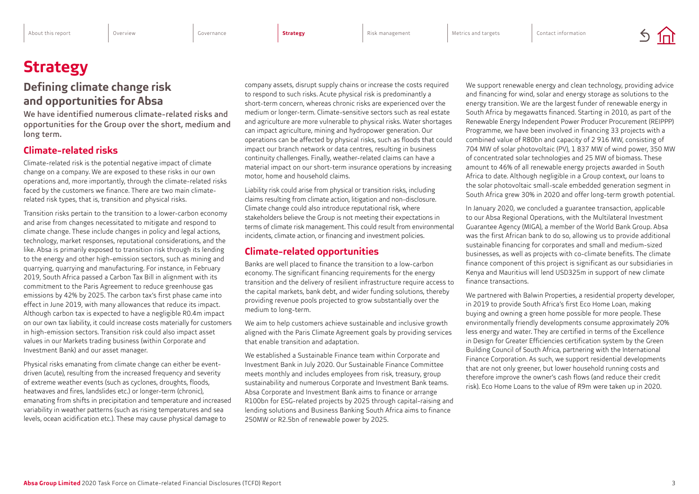# <span id="page-4-0"></span>**Strategy**

## **Defining climate change risk and opportunities for Absa**

We have identified numerous climate-related risks and opportunities for the Group over the short, medium and long term.

### **Climate-related risks**

Climate-related risk is the potential negative impact of climate change on a company. We are exposed to these risks in our own operations and, more importantly, through the climate-related risks faced by the customers we finance. There are two main climaterelated risk types, that is, transition and physical risks.

Transition risks pertain to the transition to a lower-carbon economy and arise from changes necessitated to mitigate and respond to climate change. These include changes in policy and legal actions, technology, market responses, reputational considerations, and the like. Absa is primarily exposed to transition risk through its lending to the energy and other high-emission sectors, such as mining and quarrying, quarrying and manufacturing. For instance, in February 2019, South Africa passed a Carbon Tax Bill in alignment with its commitment to the Paris Agreement to reduce greenhouse gas emissions by 42% by 2025. The carbon tax's first phase came into effect in June 2019, with many allowances that reduce its impact. Although carbon tax is expected to have a negligible R0.4m impact on our own tax liability, it could increase costs materially for customers in high-emission sectors. Transition risk could also impact asset values in our Markets trading business (within Corporate and Investment Bank) and our asset manager.

Physical risks emanating from climate change can either be eventdriven (acute), resulting from the increased frequency and severity of extreme weather events (such as cyclones, droughts, floods, heatwaves and fires, landslides etc.) or longer-term (chronic), emanating from shifts in precipitation and temperature and increased variability in weather patterns (such as rising temperatures and sea levels, ocean acidification etc.). These may cause physical damage to

company assets, disrupt supply chains or increase the costs required to respond to such risks. Acute physical risk is predominantly a short-term concern, whereas chronic risks are experienced over the medium or longer-term. Climate-sensitive sectors such as real estate and agriculture are more vulnerable to physical risks. Water shortages can impact agriculture, mining and hydropower generation. Our operations can be affected by physical risks, such as floods that could impact our branch network or data centres, resulting in business continuity challenges. Finally, weather-related claims can have a material impact on our short-term insurance operations by increasing motor, home and household claims.

Liability risk could arise from physical or transition risks, including claims resulting from climate action, litigation and non-disclosure. Climate change could also introduce reputational risk, where stakeholders believe the Group is not meeting their expectations in terms of climate risk management. This could result from environmental incidents, climate action, or financing and investment policies.

#### **Climate-related opportunities**

Banks are well placed to finance the transition to a low-carbon economy. The significant financing requirements for the energy transition and the delivery of resilient infrastructure require access to the capital markets, bank debt, and wider funding solutions, thereby providing revenue pools projected to grow substantially over the medium to long-term.

We aim to help customers achieve sustainable and inclusive growth aligned with the Paris Climate Agreement goals by providing services that enable transition and adaptation.

We established a Sustainable Finance team within Corporate and Investment Bank in July 2020. Our Sustainable Finance Committee meets monthly and includes employees from risk, treasury, group sustainability and numerous Corporate and Investment Bank teams. Absa Corporate and Investment Bank aims to finance or arrange R100bn for ESG-related projects by 2025 through capital-raising and lending solutions and Business Banking South Africa aims to finance 250MW or R2.5bn of renewable power by 2025.

We support renewable energy and clean technology, providing advice and financing for wind, solar and energy storage as solutions to the energy transition. We are the largest funder of renewable energy in South Africa by megawatts financed. Starting in 2010, as part of the Renewable Energy Independent Power Producer Procurement (REIPPP) Programme, we have been involved in financing 33 projects with a combined value of R80bn and capacity of 2 916 MW, consisting of 704 MW of solar photovoltaic (PV), 1 837 MW of wind power, 350 MW of concentrated solar technologies and 25 MW of biomass. These amount to 46% of all renewable energy projects awarded in South Africa to date. Although negligible in a Group context, our loans to the solar photovoltaic small-scale embedded generation segment in South Africa grew 30% in 2020 and offer long-term growth potential.

In January 2020, we concluded a guarantee transaction, applicable to our Absa Regional Operations, with the Multilateral Investment Guarantee Agency (MIGA), a member of the World Bank Group. Absa was the first African bank to do so, allowing us to provide additional sustainable financing for corporates and small and medium-sized businesses, as well as projects with co-climate benefits. The climate finance component of this project is significant as our subsidiaries in Kenya and Mauritius will lend USD325m in support of new climate finance transactions.

We partnered with Balwin Properties, a residential property developer, in 2019 to provide South Africa's first Eco Home Loan, making buying and owning a green home possible for more people. These environmentally friendly developments consume approximately 20% less energy and water. They are certified in terms of the Excellence in Design for Greater Efficiencies certification system by the Green Building Council of South Africa, partnering with the International Finance Corporation. As such, we support residential developments that are not only greener, but lower household running costs and therefore improve the owner's cash flows (and reduce their credit risk). Eco Home Loans to the value of R9m were taken up in 2020.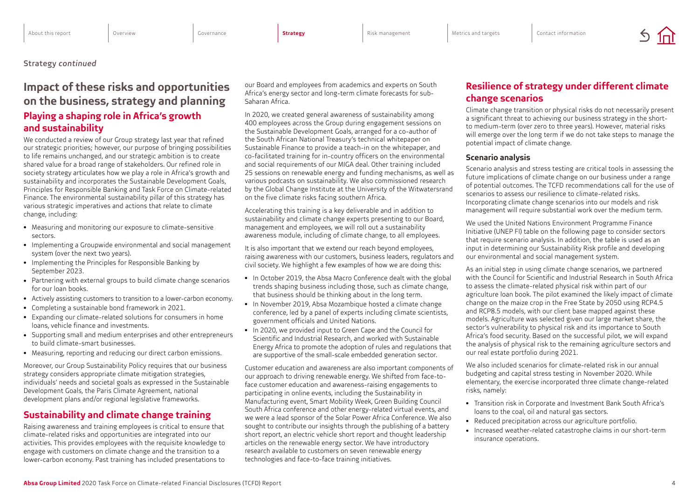#### <span id="page-5-0"></span>Strategy *continued*

## **Impact of these risks and opportunities on the business, strategy and planning Playing a shaping role in Africa's growth and sustainability**

We conducted a review of our Group strategy last year that refined our strategic priorities; however, our purpose of bringing possibilities to life remains unchanged, and our strategic ambition is to create shared value for a broad range of stakeholders. Our refined role in society strategy articulates how we play a role in Africa's growth and sustainability and incorporates the Sustainable Development Goals, Principles for Responsible Banking and Task Force on Climate-related Finance. The environmental sustainability pillar of this strategy has various strategic imperatives and actions that relate to climate change, including:

- Measuring and monitoring our exposure to climate-sensitive sectors.
- Implementing a Groupwide environmental and social management system (over the next two years).
- Implementing the Principles for Responsible Banking by September 2023.
- Partnering with external groups to build climate change scenarios for our loan books.
- Actively assisting customers to transition to a lower-carbon economy.
- Completing a sustainable bond framework in 2021.
- Expanding our climate-related solutions for consumers in home loans, vehicle finance and investments.
- Supporting small and medium enterprises and other entrepreneurs to build climate-smart businesses.
- Measuring, reporting and reducing our direct carbon emissions.

Moreover, our Group Sustainability Policy requires that our business strategy considers appropriate climate mitigation strategies, individuals' needs and societal goals as expressed in the Sustainable Development Goals, the Paris Climate Agreement, national development plans and/or regional legislative frameworks.

### **Sustainability and climate change training**

Raising awareness and training employees is critical to ensure that climate-related risks and opportunities are integrated into our activities. This provides employees with the requisite knowledge to engage with customers on climate change and the transition to a lower-carbon economy. Past training has included presentations to our Board and employees from academics and experts on South Africa's energy sector and long-term climate forecasts for sub-Saharan Africa.

In 2020, we created general awareness of sustainability among 400 employees across the Group during engagement sessions on the Sustainable Development Goals, arranged for a co-author of the South African National Treasury's technical whitepaper on Sustainable Finance to provide a teach-in on the whitepaper, and co-facilitated training for in-country officers on the environmental and social requirements of our MIGA deal. Other training included 25 sessions on renewable energy and funding mechanisms, as well as various podcasts on sustainability. We also commissioned research by the Global Change Institute at the University of the Witwatersrand on the five climate risks facing southern Africa.

Accelerating this training is a key deliverable and in addition to sustainability and climate change experts presenting to our Board, management and employees, we will roll out a sustainability awareness module, including of climate change, to all employees.

It is also important that we extend our reach beyond employees, raising awareness with our customers, business leaders, regulators and civil society. We highlight a few examples of how we are doing this:

- In October 2019, the Absa Macro Conference dealt with the global trends shaping business including those, such as climate change, that business should be thinking about in the long term.
- In November 2019, Absa Mozambique hosted a climate change conference, led by a panel of experts including climate scientists, government officials and United Nations.
- In 2020, we provided input to Green Cape and the Council for Scientific and Industrial Research, and worked with Sustainable Energy Africa to promote the adoption of rules and regulations that are supportive of the small-scale embedded generation sector.

Customer education and awareness are also important components of our approach to driving renewable energy. We shifted from face-toface customer education and awareness-raising engagements to participating in online events, including the Sustainability in Manufacturing event, Smart Mobility Week, Green Building Council South Africa conference and other energy-related virtual events, and we were a lead sponsor of the Solar Power Africa Conference. We also sought to contribute our insights through the publishing of a battery short report, an electric vehicle short report and thought leadership articles on the renewable energy sector. We have introductory research available to customers on seven renewable energy technologies and face-to-face training initiatives.

## **Resilience of strategy under different climate change scenarios**

Climate change transition or physical risks do not necessarily present a significant threat to achieving our business strategy in the shortto medium-term (over zero to three years). However, material risks will emerge over the long term if we do not take steps to manage the potential impact of climate change.

#### **Scenario analysis**

Scenario analysis and stress testing are critical tools in assessing the future implications of climate change on our business under a range of potential outcomes. The TCFD recommendations call for the use of scenarios to assess our resilience to climate-related risks. Incorporating climate change scenarios into our models and risk management will require substantial work over the medium term.

We used the United Nations Environment Programme Finance Initiative (UNEP FI) table on the following page to consider sectors that require scenario analysis. In addition, the table is used as an input in determining our Sustainability Risk profile and developing our environmental and social management system.

As an initial step in using climate change scenarios, we partnered with the Council for Scientific and Industrial Research in South Africa to assess the climate-related physical risk within part of our agriculture loan book. The pilot examined the likely impact of climate change on the maize crop in the Free State by 2050 using RCP4.5 and RCP8.5 models, with our client base mapped against these models. Agriculture was selected given our large market share, the sector's vulnerability to physical risk and its importance to South Africa's food security. Based on the successful pilot, we will expand the analysis of physical risk to the remaining agriculture sectors and our real estate portfolio during 2021.

We also included scenarios for climate-related risk in our annual budgeting and capital stress testing in November 2020. While elementary, the exercise incorporated three climate change-related risks, namely:

- Transition risk in Corporate and Investment Bank South Africa's loans to the coal, oil and natural gas sectors.
- Reduced precipitation across our agriculture portfolio.
- Increased weather-related catastrophe claims in our short-term insurance operations.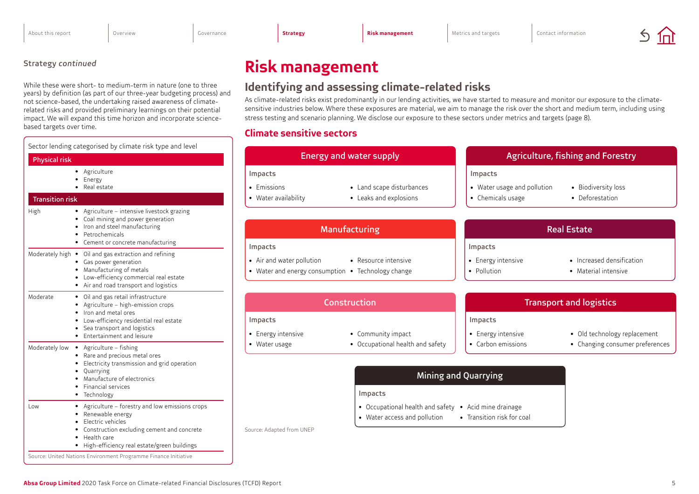**Climate sensitive sectors**

**Identifying and assessing climate-related risks**

As climate-related risks exist predominantly in our lending activities, we have started to measure and monitor our exposure to the climatesensitive industries below. Where these exposures are material, we aim to manage the risk over the short and medium term, including using

stress testing and scenario planning. We disclose our exposure to these sectors under metrics and targets (page 8).

# <span id="page-6-0"></span>Strategy *continued* **Risk management**

While these were short- to medium-term in nature (one to three years) by definition (as part of our three-year budgeting process) and not science-based, the undertaking raised awareness of climaterelated risks and provided preliminary learnings on their potential impact. We will expand this time horizon and incorporate sciencebased targets over time.

| Sector lending categorised by climate risk type and level                                                                                                                                                                                                                           |                                                                                                            |                                                                                       |                                                             |                                                                |
|-------------------------------------------------------------------------------------------------------------------------------------------------------------------------------------------------------------------------------------------------------------------------------------|------------------------------------------------------------------------------------------------------------|---------------------------------------------------------------------------------------|-------------------------------------------------------------|----------------------------------------------------------------|
| <b>Physical risk</b>                                                                                                                                                                                                                                                                |                                                                                                            | <b>Energy and water supply</b>                                                        |                                                             | Agriculture, fishing and Forestry                              |
| • Agriculture<br>Energy<br>• Real estate<br><b>Transition risk</b>                                                                                                                                                                                                                  | Impacts<br>• Emissions<br>• Water availability                                                             | • Land scape disturbances<br>• Leaks and explosions                                   | Impacts<br>• Water usage and pollution<br>• Chemicals usage | • Biodiversity loss<br>• Deforestation                         |
| • Agriculture – intensive livestock grazing<br>High<br>• Coal mining and power generation<br>Iron and steel manufacturing<br>Petrochemicals<br>• Cement or concrete manufacturing                                                                                                   | Manufacturing                                                                                              |                                                                                       | <b>Real Estate</b>                                          |                                                                |
| Moderately high • Oil and gas extraction and refining<br>• Gas power generation<br>• Manufacturing of metals<br>• Low-efficiency commercial real estate<br>• Air and road transport and logistics                                                                                   | Impacts<br>• Air and water pollution<br>• Water and energy consumption • Technology change                 | • Resource intensive                                                                  | Impacts<br>• Energy intensive<br>• Pollution                | • Increased densification<br>• Material intensive              |
| · Oil and gas retail infrastructure<br>Moderate<br>• Agriculture - high-emission crops<br>• Iron and metal ores<br>Low-efficiency residential real estate<br>Sea transport and logistics<br>• Entertainment and leisure                                                             | Impacts<br>• Energy intensive                                                                              | Construction<br>• Community impact                                                    | Impacts<br>• Energy intensive                               | <b>Transport and logistics</b><br>• Old technology replacement |
| Moderately low • Agriculture - fishing<br>• Rare and precious metal ores<br>Electricity transmission and grid operation<br>Quarrying<br>Manufacture of electronics<br>• Financial services<br>• Technology                                                                          | • Occupational health and safety<br>• Carbon emissions<br>• Water usage<br>Mining and Quarrying<br>Impacts |                                                                                       | • Changing consumer preferences                             |                                                                |
| • Agriculture – forestry and low emissions crops<br>Low<br>Renewable energy<br>Electric vehicles<br>Construction excluding cement and concrete<br>• Health care<br>• High-efficiency real estate/green buildings<br>Source: United Nations Environment Programme Finance Initiative | Source: Adapted from UNEP                                                                                  | • Occupational health and safety • Acid mine drainage<br>• Water access and pollution | • Transition risk for coal                                  |                                                                |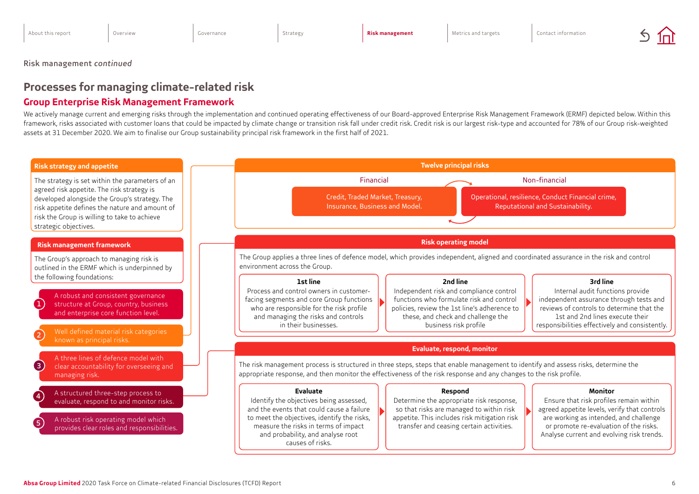<span id="page-7-0"></span>Risk management *continued*

# **Processes for managing climate-related risk**

## **Group Enterprise Risk Management Framework**

We actively manage current and emerging risks through the implementation and continued operating effectiveness of our Board-approved Enterprise Risk Management Framework (ERMF) depicted below. Within this framework, risks associated with customer loans that could be impacted by climate change or transition risk fall under credit risk. Credit risk is our largest risk-type and accounted for 78% of our Group risk-weighted assets at 31 December 2020. We aim to finalise our Group sustainability principal risk framework in the first half of 2021.

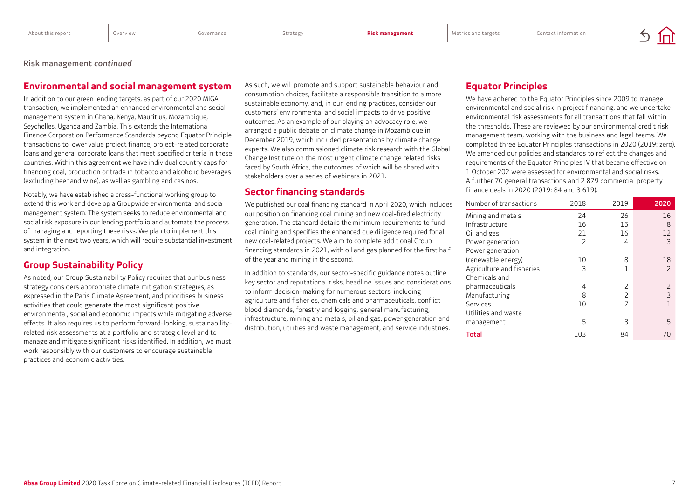Risk management *continued*

### **Environmental and social management system**

In addition to our green lending targets, as part of our 2020 MIGA transaction, we implemented an enhanced environmental and social management system in Ghana, Kenya, Mauritius, Mozambique, Seychelles, Uganda and Zambia. This extends the International Finance Corporation Performance Standards beyond Equator Principle transactions to lower value project finance, project-related corporate loans and general corporate loans that meet specified criteria in these countries. Within this agreement we have individual country caps for financing coal, production or trade in tobacco and alcoholic beverages (excluding beer and wine), as well as gambling and casinos.

Notably, we have established a cross-functional working group to extend this work and develop a Groupwide environmental and social management system. The system seeks to reduce environmental and social risk exposure in our lending portfolio and automate the process of managing and reporting these risks. We plan to implement this system in the next two years, which will require substantial investment and integration.

### **Group Sustainability Policy**

As noted, our Group Sustainability Policy requires that our business strategy considers appropriate climate mitigation strategies, as expressed in the Paris Climate Agreement, and prioritises business activities that could generate the most significant positive environmental, social and economic impacts while mitigating adverse effects. It also requires us to perform forward-looking, sustainabilityrelated risk assessments at a portfolio and strategic level and to manage and mitigate significant risks identified. In addition, we must work responsibly with our customers to encourage sustainable practices and economic activities.

As such, we will promote and support sustainable behaviour and consumption choices, facilitate a responsible transition to a more sustainable economy, and, in our lending practices, consider our customers' environmental and social impacts to drive positive outcomes. As an example of our playing an advocacy role, we arranged a public debate on climate change in Mozambique in December 2019, which included presentations by climate change experts. We also commissioned climate risk research with the Global Change Institute on the most urgent climate change related risks faced by South Africa, the outcomes of which will be shared with stakeholders over a series of webinars in 2021.

### **Sector financing standards**

We published our coal financing standard in April 2020, which includes our position on financing coal mining and new coal-fired electricity generation. The standard details the minimum requirements to fund coal mining and specifies the enhanced due diligence required for all new coal-related projects. We aim to complete additional Group financing standards in 2021, with oil and gas planned for the first half of the year and mining in the second.

In addition to standards, our sector-specific guidance notes outline key sector and reputational risks, headline issues and considerations to inform decision-making for numerous sectors, including agriculture and fisheries, chemicals and pharmaceuticals, conflict blood diamonds, forestry and logging, general manufacturing, infrastructure, mining and metals, oil and gas, power generation and distribution, utilities and waste management, and service industries.

## **Equator Principles**

We have adhered to the Equator Principles since 2009 to manage environmental and social risk in project financing, and we undertake environmental risk assessments for all transactions that fall within the thresholds. These are reviewed by our environmental credit risk management team, working with the business and legal teams. We completed three Equator Principles transactions in 2020 (2019: zero). We amended our policies and standards to reflect the changes and requirements of the Equator Principles IV that became effective on 1 October 202 were assessed for environmental and social risks. A further 70 general transactions and 2 879 commercial property finance deals in 2020 (2019: 84 and 3 619).

| Number of transactions    | 2018 | 2019          | 2020           |
|---------------------------|------|---------------|----------------|
| Mining and metals         | 24   | 26            | 16             |
| Infrastructure            | 16   | 15            | 8              |
| Oil and gas               | 21   | 16            | 12             |
| Power generation          | 2    | 4             | 3              |
| Power generation          |      |               |                |
| (renewable energy)        | 10   | 8             | 18             |
| Agriculture and fisheries | 3    | 1             | $\overline{2}$ |
| Chemicals and             |      |               |                |
| pharmaceuticals           | 4    | $\mathcal{P}$ |                |
| Manufacturing             | 8    | $\mathcal{P}$ | 3              |
| Services                  | 10   | 7             |                |
| Utilities and waste       |      |               |                |
| management                | 5    | 3             | 5              |
| Total                     | 103  | 84            | 70             |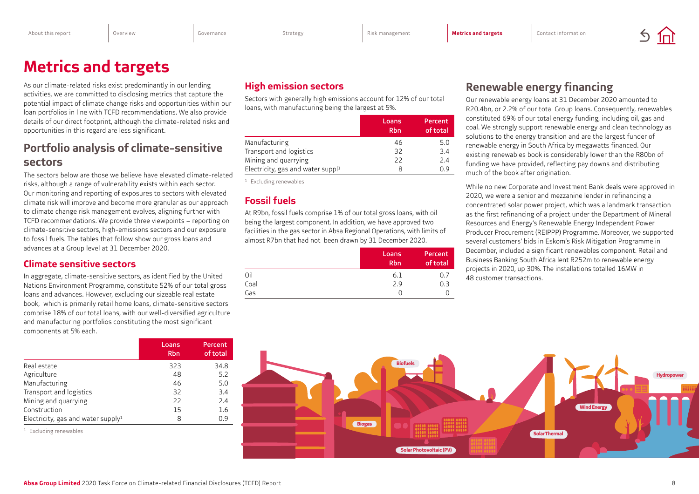# <span id="page-9-0"></span>**Metrics and targets**

As our climate-related risks exist predominantly in our lending activities, we are committed to disclosing metrics that capture the potential impact of climate change risks and opportunities within our loan portfolios in line with TCFD recommendations. We also provide details of our direct footprint, although the climate-related risks and opportunities in this regard are less significant.

# **Portfolio analysis of climate-sensitive sectors**

The sectors below are those we believe have elevated climate-related risks, although a range of vulnerability exists within each sector. Our monitoring and reporting of exposures to sectors with elevated climate risk will improve and become more granular as our approach to climate change risk management evolves, aligning further with TCFD recommendations. We provide three viewpoints – reporting on climate-sensitive sectors, high-emissions sectors and our exposure to fossil fuels. The tables that follow show our gross loans and advances at a Group level at 31 December 2020.

### **Climate sensitive sectors**

In aggregate, climate-sensitive sectors, as identified by the United Nations Environment Programme, constitute 52% of our total gross loans and advances. However, excluding our sizeable real estate book, which is primarily retail home loans, climate-sensitive sectors comprise 18% of our total loans, with our well-diversified agriculture and manufacturing portfolios constituting the most significant components at 5% each.

|                                       | Loans<br><b>Rbn</b> | Percent<br>of total |
|---------------------------------------|---------------------|---------------------|
| Real estate                           | 323                 | 34.8                |
| Agriculture                           | 48                  | 5.2                 |
| Manufacturing                         | 46                  | 5.0                 |
| Transport and logistics               | 32                  | 3.4                 |
| Mining and quarrying                  | 22                  | 2.4                 |
| Construction                          | 15                  | 1.6                 |
| Electricity, gas and water supply $1$ | 8                   | 0.9                 |

<sup>1</sup> Excluding renewables

## **High emission sectors**

Sectors with generally high emissions account for 12% of our total loans, with manufacturing being the largest at 5%.

|                                   | Loans<br><b>Rbn</b> | Percent<br>of total |
|-----------------------------------|---------------------|---------------------|
| Manufacturing                     | 46                  | 5.0                 |
| Transport and logistics           | 32                  | 3.4                 |
| Mining and quarrying              | 22                  | 2.4                 |
| Electricity, gas and water suppl1 | 8                   | 0.9                 |

<sup>1</sup> Excluding renewables

### **Fossil fuels**

At R9bn, fossil fuels comprise 1% of our total gross loans, with oil being the largest component. In addition, we have approved two facilities in the gas sector in Absa Regional Operations, with limits of almost R7bn that had not been drawn by 31 December 2020.

|      | Loans<br><b>Rbn</b> | Percent<br>of total |
|------|---------------------|---------------------|
| Oil  | 6.1                 | 0.7                 |
| Coal | 2.9                 | 0.3                 |
| Gas  |                     |                     |

# **Renewable energy financing**

Our renewable energy loans at 31 December 2020 amounted to R20.4bn, or 2.2% of our total Group loans. Consequently, renewables constituted 69% of our total energy funding, including oil, gas and coal. We strongly support renewable energy and clean technology as solutions to the energy transition and are the largest funder of renewable energy in South Africa by megawatts financed. Our existing renewables book is considerably lower than the R80bn of funding we have provided, reflecting pay downs and distributing much of the book after origination.

While no new Corporate and Investment Bank deals were approved in 2020, we were a senior and mezzanine lender in refinancing a concentrated solar power project, which was a landmark transaction as the first refinancing of a project under the Department of Mineral Resources and Energy's Renewable Energy Independent Power Producer Procurement (REIPPP) Programme. Moreover, we supported several customers' bids in Eskom's Risk Mitigation Programme in December, included a significant renewables component. Retail and Business Banking South Africa lent R252m to renewable energy projects in 2020, up 30%. The installations totalled 16MW in 48 customer transactions.

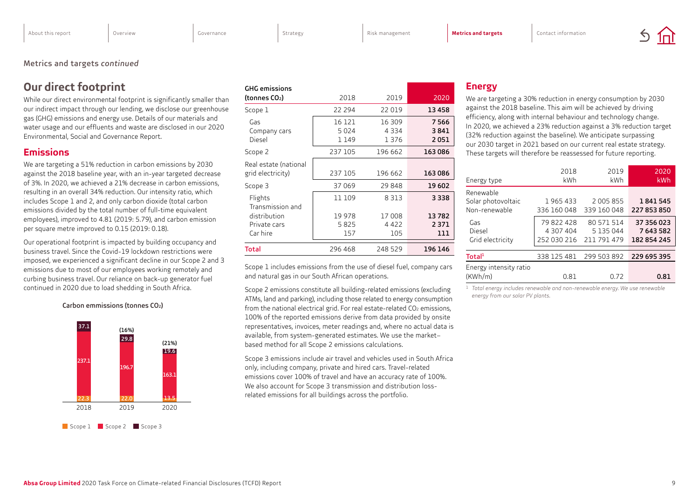#### <span id="page-10-0"></span>Metrics and targets *continued*

## **Our direct footprint**

While our direct environmental footprint is significantly smaller than our indirect impact through our lending, we disclose our greenhouse gas (GHG) emissions and energy use. Details of our materials and water usage and our effluents and waste are disclosed in our 2020 Environmental, Social and Governance Report.

#### **Emissions**

We are targeting a 51% reduction in carbon emissions by 2030 against the 2018 baseline year, with an in-year targeted decrease of 3%. In 2020, we achieved a 21% decrease in carbon emissions, resulting in an overall 34% reduction. Our intensity ratio, which includes Scope 1 and 2, and only carbon dioxide (total carbon emissions divided by the total number of full-time equivalent employees), improved to 4.81 (2019: 5.79), and carbon emission per square metre improved to 0.15 (2019: 0.18).

Our operational footprint is impacted by building occupancy and business travel. Since the Covid-19 lockdown restrictions were imposed, we experienced a significant decline in our Scope 2 and 3 emissions due to most of our employees working remotely and curbing business travel. Our reliance on back-up generator fuel continued in 2020 due to load shedding in South Africa.

Carbon emmissions (tonnes CO2)



| GHG emissions                              |                           |                          |                       |
|--------------------------------------------|---------------------------|--------------------------|-----------------------|
| (tonnes CO2)                               | 2018                      | 2019                     | 2020                  |
| Scope 1                                    | 22 294                    | 22 0 19                  | 13 458                |
| Gas<br>Company cars<br>Diesel              | 16 121<br>5024<br>1 1 4 9 | 16 309<br>4334<br>1376   | 7566<br>3 841<br>2051 |
| Scope 2                                    | 237 105                   | 196 662                  | 163086                |
| Real estate (national<br>grid electricity) | 237 105                   | 196 662                  | 163086                |
| Scope 3                                    | 37 069                    | 29 848                   | 19 602                |
| Flights<br>Transmission and                | 11 109                    | 8313                     | 3 3 3 8               |
| distribution<br>Private cars<br>Car hire   | 19 978<br>5825<br>157     | 17 008<br>4 4 2 2<br>105 | 13782<br>2371<br>111  |
| <b>Total</b>                               | 296 468                   | 248 529                  | 196 146               |

Scope 1 includes emissions from the use of diesel fuel, company cars and natural gas in our South African operations.

Scope 2 emissions constitute all building-related emissions (excluding ATMs, land and parking), including those related to energy consumption from the national electrical grid. For real estate-related CO<sub>2</sub> emissions, 100% of the reported emissions derive from data provided by onsite representatives, invoices, meter readings and, where no actual data is available, from system-generated estimates. We use the market– based method for all Scope 2 emissions calculations.

Scope 3 emissions include air travel and vehicles used in South Africa only, including company, private and hired cars. Travel-related emissions cover 100% of travel and have an accuracy rate of 100%. We also account for Scope 3 transmission and distribution lossrelated emissions for all buildings across the portfolio.

#### **Energy**

We are targeting a 30% reduction in energy consumption by 2030 against the 2018 baseline. This aim will be achieved by driving efficiency, along with internal behaviour and technology change. In 2020, we achieved a 23% reduction against a 3% reduction target (32% reduction against the baseline). We anticipate surpassing our 2030 target in 2021 based on our current real estate strategy. These targets will therefore be reassessed for future reporting.

| Energy type                                      | 2018<br>kWh                            | 2019<br><b>kWh</b>                     | 2020<br>kWh                          |
|--------------------------------------------------|----------------------------------------|----------------------------------------|--------------------------------------|
| Renewable<br>Solar photovoltaic<br>Non-renewable | 1965433<br>336 160 048                 | 2 005 855<br>339 160 048               | 1841545<br>227 853 850               |
| Gas<br>Diesel<br>Grid electricity                | 79 822 428<br>4 307 404<br>252 030 216 | 80 571 514<br>5 135 044<br>211 791 479 | 37 356 023<br>7643582<br>182 854 245 |
| Total <sup>1</sup>                               | 338 125 481                            | 299 503 892                            | 229 695 395                          |
| Energy intensity ratio<br>(KWh/m)                | 0.81                                   | 0.72                                   | 0.81                                 |

<sup>1</sup> *Total energy includes renewable and non-renewable energy. We use renewable energy from our solar PV plants.*